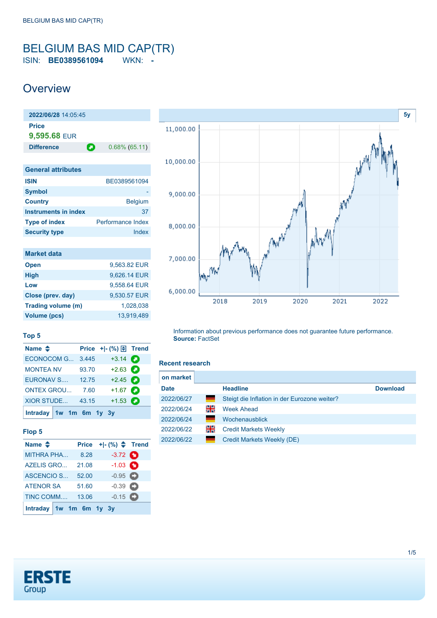## <span id="page-0-0"></span>BELGIUM BAS MID CAP(TR) ISIN: **BE0389561094** WKN: **-**

## **Overview**



| <b>Market data</b>  |              |
|---------------------|--------------|
| <b>Open</b>         | 9,563.82 EUR |
| <b>High</b>         | 9,626.14 EUR |
| Low                 | 9.558.64 EUR |
| Close (prev. day)   | 9,530.57 EUR |
| Trading volume (m)  | 1,028,038    |
| <b>Volume (pcs)</b> | 13.919.489   |



### **Top 5**

| Name $\triangleq$         |       | Price $+$ $ (%)$ $\oplus$ Trend |   |
|---------------------------|-------|---------------------------------|---|
| <b>ECONOCOM G</b>         | 3.445 | $+3.14$ $\bullet$               |   |
| <b>MONTEA NV</b>          | 93.70 | $+2.63$                         |   |
| <b>EURONAV S</b>          | 12.75 | $+2.45$                         |   |
| <b>ONTEX GROU</b>         | 7.60  | $+1.67$ $\bullet$               |   |
| <b>XIOR STUDE</b>         | 43.15 | $+1.53$                         | а |
| Intraday $1w$ 1m 6m 1y 3y |       |                                 |   |

### **Flop 5**

| Name $\triangleq$       | <b>Price</b> | $+[-(%) \Leftrightarrow$ Trend |  |
|-------------------------|--------------|--------------------------------|--|
| <b>MITHRA PHA</b>       | 8.28         | $-3.72$ $\bullet$              |  |
| <b>AZELIS GRO</b>       | 21.08        | $-1.03$ $\bullet$              |  |
| ASCENCIO S              | 52.00        | $-0.95$                        |  |
| <b>ATENOR SA</b>        | 51.60        | $-0.39$ $\bullet$              |  |
| TINC COMM               | 13.06        | $-0.15$ $\Box$                 |  |
| Intraday 1w 1m 6m 1y 3y |              |                                |  |

Information about previous performance does not guarantee future performance. **Source:** FactSet

#### **Recent research**

| on market   |    |                                              |                 |
|-------------|----|----------------------------------------------|-----------------|
| <b>Date</b> |    | <b>Headline</b>                              | <b>Download</b> |
| 2022/06/27  | =  | Steigt die Inflation in der Eurozone weiter? |                 |
| 2022/06/24  | 읡  | <b>Week Ahead</b>                            |                 |
| 2022/06/24  |    | Wochenausblick                               |                 |
| 2022/06/22  | 꾉뚢 | <b>Credit Markets Weekly</b>                 |                 |
| 2022/06/22  | ٠  | Credit Markets Weekly (DE)                   |                 |

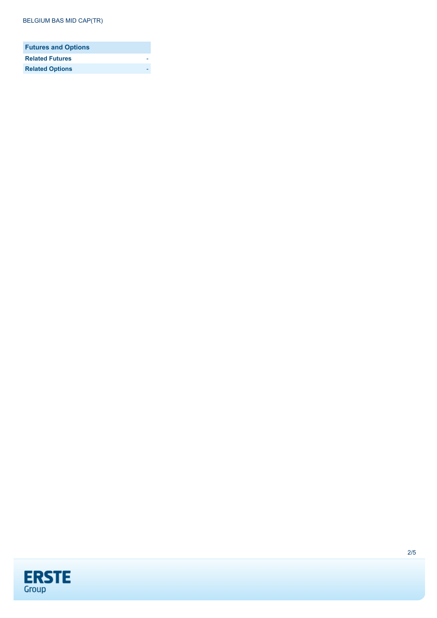| <b>Futures and Options</b> |  |
|----------------------------|--|
| <b>Related Futures</b>     |  |
| <b>Related Options</b>     |  |

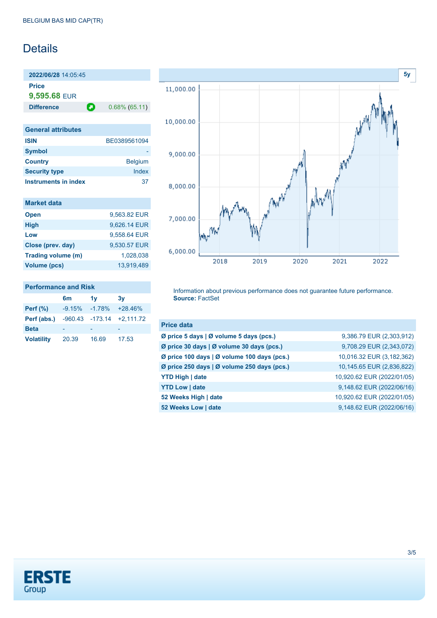# Details

**2022/06/28** 14:05:45 **Price**

**9,595.68** EUR

**Difference 0.68% (65.11)** 

| <b>General attributes</b> |                |
|---------------------------|----------------|
| <b>ISIN</b>               | BE0389561094   |
| <b>Symbol</b>             |                |
| <b>Country</b>            | <b>Belgium</b> |
| <b>Security type</b>      | Index          |
| Instruments in index      | 37             |

|  | <b>Market data</b> |  |
|--|--------------------|--|
|  |                    |  |

| 9,563.82 EUR |
|--------------|
| 9,626.14 EUR |
| 9,558.64 EUR |
| 9,530.57 EUR |
| 1,028,038    |
| 13.919.489   |
|              |

### **Performance and Risk**

|                   | 6m        | 1v       | 3v                          |
|-------------------|-----------|----------|-----------------------------|
| Perf $(\%)$       | $-9.15\%$ | $-1.78%$ | $+28.46%$                   |
| Perf (abs.)       |           |          | $-960.43 -173.14 +2.111.72$ |
| <b>Beta</b>       |           |          |                             |
| <b>Volatility</b> | 20.39     | 16.69    | 17.53                       |



Information about previous performance does not guarantee future performance. **Source:** FactSet

| <b>Price data</b>                           |                            |
|---------------------------------------------|----------------------------|
| Ø price 5 days   Ø volume 5 days (pcs.)     | 9,386.79 EUR (2,303,912)   |
| Ø price 30 days   Ø volume 30 days (pcs.)   | 9,708.29 EUR (2,343,072)   |
| Ø price 100 days   Ø volume 100 days (pcs.) | 10,016.32 EUR (3,182,362)  |
| Ø price 250 days   Ø volume 250 days (pcs.) | 10,145.65 EUR (2,836,822)  |
| <b>YTD High   date</b>                      | 10,920.62 EUR (2022/01/05) |
| <b>YTD Low   date</b>                       | 9,148.62 EUR (2022/06/16)  |
| 52 Weeks High   date                        | 10,920.62 EUR (2022/01/05) |
| 52 Weeks Low   date                         | 9,148.62 EUR (2022/06/16)  |

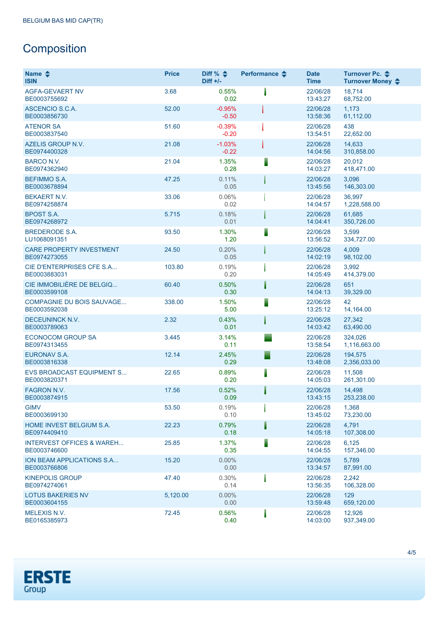# **Composition**

| Name $\triangle$<br><b>ISIN</b>                      | <b>Price</b> | Diff % $\triangleq$<br>$Diff +/-$ | Performance $\triangle$ | <b>Date</b><br><b>Time</b> | Turnover Pc. ♦<br>Turnover Money $\div$ |
|------------------------------------------------------|--------------|-----------------------------------|-------------------------|----------------------------|-----------------------------------------|
| <b>AGFA-GEVAERT NV</b><br>BE0003755692               | 3.68         | 0.55%<br>0.02                     |                         | 22/06/28<br>13:43:27       | 18,714<br>68,752.00                     |
| ASCENCIO S.C.A.<br>BE0003856730                      | 52.00        | $-0.95%$<br>$-0.50$               |                         | 22/06/28<br>13:58:36       | 1,173<br>61,112.00                      |
| <b>ATENOR SA</b><br>BE0003837540                     | 51.60        | $-0.39%$<br>$-0.20$               |                         | 22/06/28<br>13:54:51       | 438<br>22,652.00                        |
| <b>AZELIS GROUP N.V.</b><br>BE0974400328             | 21.08        | $-1.03%$<br>$-0.22$               |                         | 22/06/28<br>14:04:56       | 14,633<br>310,858.00                    |
| <b>BARCO N.V.</b><br>BE0974362940                    | 21.04        | 1.35%<br>0.28                     |                         | 22/06/28<br>14:03:27       | 20,012<br>418,471.00                    |
| <b>BEFIMMO S.A.</b><br>BE0003678894                  | 47.25        | 0.11%<br>0.05                     |                         | 22/06/28<br>13:45:56       | 3,096<br>146,303.00                     |
| <b>BEKAERT N.V.</b><br>BE0974258874                  | 33.06        | 0.06%<br>0.02                     |                         | 22/06/28<br>14:04:57       | 36,997<br>1,228,588.00                  |
| <b>BPOST S.A.</b><br>BE0974268972                    | 5.715        | 0.18%<br>0.01                     |                         | 22/06/28<br>14:04:41       | 61.685<br>350,726.00                    |
| <b>BREDERODE S.A.</b><br>LU1068091351                | 93.50        | 1.30%<br>1.20                     |                         | 22/06/28<br>13:56:52       | 3,599<br>334,727.00                     |
| <b>CARE PROPERTY INVESTMENT</b><br>BE0974273055      | 24.50        | 0.20%<br>0.05                     |                         | 22/06/28<br>14:02:19       | 4,009<br>98,102.00                      |
| CIE D'ENTERPRISES CFE S.A<br>BE0003883031            | 103.80       | 0.19%<br>0.20                     |                         | 22/06/28<br>14:05:49       | 3,992<br>414,379.00                     |
| CIE IMMOBILIÈRE DE BELGIQ<br>BE0003599108            | 60.40        | 0.50%<br>0.30                     |                         | 22/06/28<br>14:04:13       | 651<br>39,329.00                        |
| <b>COMPAGNIE DU BOIS SAUVAGE</b><br>BE0003592038     | 338.00       | 1.50%<br>5.00                     |                         | 22/06/28<br>13:25:12       | 42<br>14,164.00                         |
| <b>DECEUNINCK N.V.</b><br>BE0003789063               | 2.32         | 0.43%<br>0.01                     |                         | 22/06/28<br>14:03:42       | 27,342<br>63,490.00                     |
| <b>ECONOCOM GROUP SA</b><br>BE0974313455             | 3.445        | 3.14%<br>0.11                     |                         | 22/06/28<br>13:58:54       | 324,026<br>1,116,663.00                 |
| <b>EURONAV S.A.</b><br>BE0003816338                  | 12.14        | 2.45%<br>0.29                     |                         | 22/06/28<br>13:48:08       | 194,575<br>2,356,033.00                 |
| EVS BROADCAST EQUIPMENT S<br>BE0003820371            | 22.65        | 0.89%<br>0.20                     | ┋                       | 22/06/28<br>14:05:03       | 11,508<br>261,301.00                    |
| FAGRON N.V.<br>BE0003874915                          | 17.56        | 0.52%<br>0.09                     |                         | 22/06/28<br>13:43:15       | 14.498<br>253,238.00                    |
| <b>GIMV</b><br>BE0003699130                          | 53.50        | 0.19%<br>0.10                     |                         | 22/06/28<br>13:45:02       | 1,368<br>73,230.00                      |
| <b>HOME INVEST BELGIUM S.A.</b><br>BE0974409410      | 22.23        | 0.79%<br>0.18                     | I                       | 22/06/28<br>14:05:18       | 4,791<br>107,308.00                     |
| <b>INTERVEST OFFICES &amp; WAREH</b><br>BE0003746600 | 25.85        | 1.37%<br>0.35                     | Ī                       | 22/06/28<br>14:04:55       | 6,125<br>157,346.00                     |
| ION BEAM APPLICATIONS S.A<br>BE0003766806            | 15.20        | $0.00\%$<br>0.00                  |                         | 22/06/28<br>13:34:57       | 5,789<br>87,991.00                      |
| <b>KINEPOLIS GROUP</b><br>BE0974274061               | 47.40        | 0.30%<br>0.14                     |                         | 22/06/28<br>13:56:35       | 2,242<br>106,328.00                     |
| <b>LOTUS BAKERIES NV</b><br>BE0003604155             | 5,120.00     | $0.00\%$<br>0.00                  |                         | 22/06/28<br>13:59:48       | 129<br>659,120.00                       |
| <b>MELEXIS N.V.</b><br>BE0165385973                  | 72.45        | 0.56%<br>0.40                     |                         | 22/06/28<br>14:03:00       | 12,926<br>937,349.00                    |